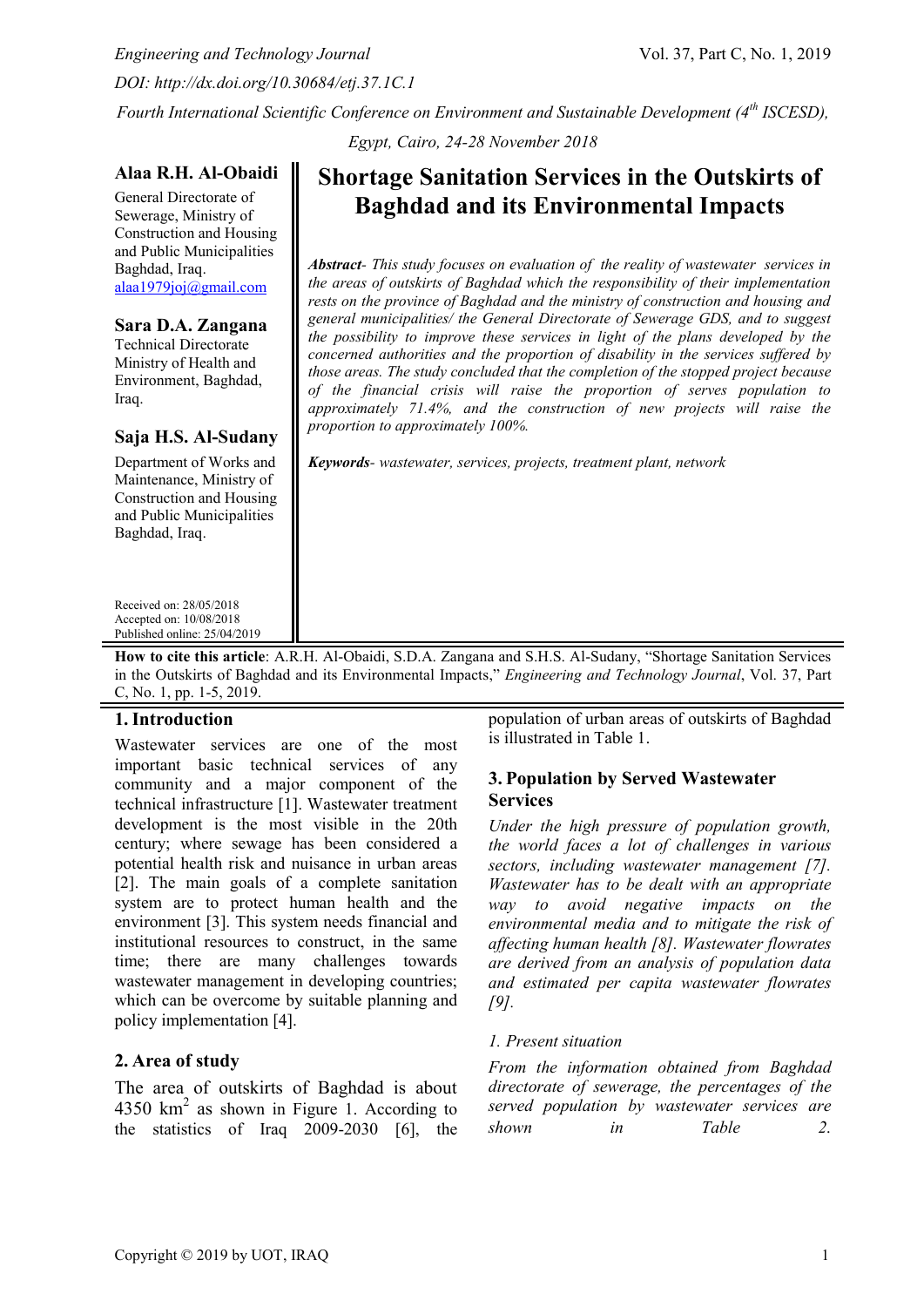*Engineering and Technology Journal* Vol. 37, Part C, No. 1, 2019 *DOI: http://dx.doi.org/10.30684/etj.37.1C.1*

*Fourth International Scientific Conference on Environment and Sustainable Development (4th ISCESD),* 

*Egypt, Cairo, 24-28 November 2018*

## **Alaa R.H. Al-Obaidi**

General Directorate of Sewerage, Ministry of Construction and Housing and Public Municipalities Baghdad, Iraq. [alaa1979joj@gmail.com](mailto:alaa1979joj@gmail.com)

## **Sara D.A. Zangana**

Technical Directorate Ministry of Health and Environment, Baghdad, Iraq.

## **Saja H.S. Al-Sudany**

Department of Works and Maintenance, Ministry of Construction and Housing and Public Municipalities Baghdad, Iraq.

Received on: 28/05/2018 Accepted on: 10/08/2018 Published online: 25/04/2019

# **Shortage Sanitation Services in the Outskirts of Baghdad and its Environmental Impacts**

*Abstract- This study focuses on evaluation of the reality of wastewater services in the areas of outskirts of Baghdad which the responsibility of their implementation rests on the province of Baghdad and the ministry of construction and housing and general municipalities/ the General Directorate of Sewerage GDS, and to suggest the possibility to improve these services in light of the plans developed by the concerned authorities and the proportion of disability in the services suffered by those areas. The study concluded that the completion of the stopped project because of the financial crisis will raise the proportion of serves population to approximately 71.4%, and the construction of new projects will raise the proportion to approximately 100%.*

*Keywords- wastewater, services, projects, treatment plant, network*

**How to cite this article**: A.R.H. Al-Obaidi, S.D.A. Zangana and S.H.S. Al-Sudany, "Shortage Sanitation Services in the Outskirts of Baghdad and its Environmental Impacts," *Engineering and Technology Journal*, Vol. 37, Part C, No. 1, pp. 1-5, 2019.

# **1.Introduction**

Wastewater services are one of the most important basic technical services of any community and a major component of the technical infrastructure [1]. Wastewater treatment development is the most visible in the 20th century; where sewage has been considered a potential health risk and nuisance in urban areas [2]. The main goals of a complete sanitation system are to protect human health and the environment [3]. This system needs financial and institutional resources to construct, in the same time; there are many challenges towards wastewater management in developing countries; which can be overcome by suitable planning and policy implementation [4].

# **2. Area of study**

The area of outskirts of Baghdad is about  $4350 \text{ km}^2$  as shown in Figure 1. According to the statistics of Iraq 2009-2030 [6], the

population of urban areas of outskirts of Baghdad is illustrated in Table 1.

# **3. Population by Served Wastewater Services**

*Under the high pressure of population growth, the world faces a lot of challenges in various sectors, including wastewater management [7]. Wastewater has to be dealt with an appropriate way to avoid negative impacts on the environmental media and to mitigate the risk of affecting human health [8]. Wastewater flowrates are derived from an analysis of population data and estimated per capita wastewater flowrates [9].* 

## *1. Present situation*

*From the information obtained from Baghdad directorate of sewerage, the percentages of the served population by wastewater services are shown in Table 2.*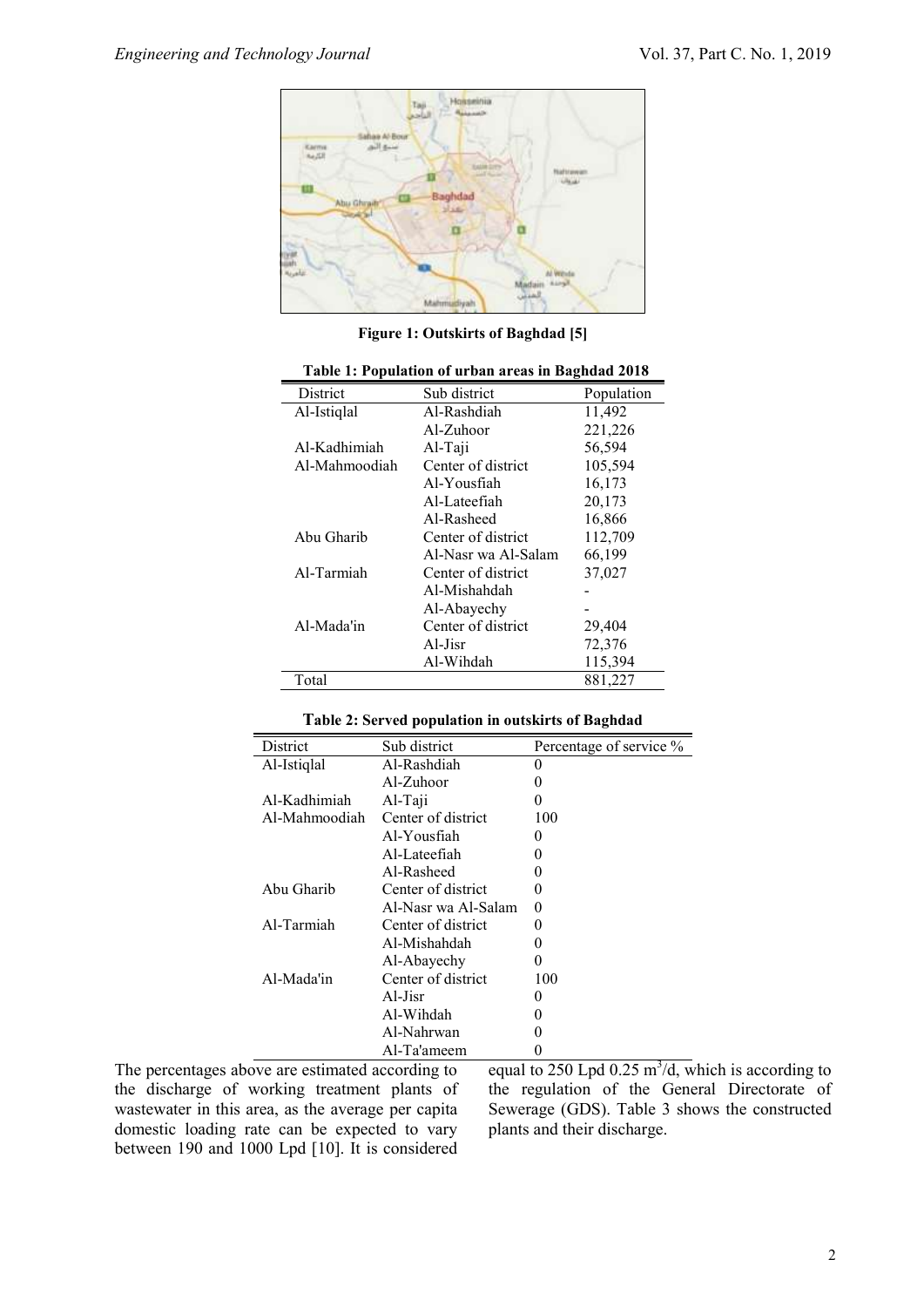

**Figure 1: Outskirts of Baghdad [5]**

| . wore 1, 1 op and ton of all oun areas in |                     |            |  |
|--------------------------------------------|---------------------|------------|--|
| District                                   | Sub district        | Population |  |
| Al-Istiqlal                                | Al-Rashdiah         | 11,492     |  |
|                                            | Al-Zuhoor           | 221,226    |  |
| Al-Kadhimiah                               | Al-Taji             | 56,594     |  |
| Al-Mahmoodiah                              | Center of district  | 105,594    |  |
|                                            | Al-Yousfiah         | 16,173     |  |
|                                            | Al-Lateefiah        | 20,173     |  |
|                                            | Al-Rasheed          | 16,866     |  |
| Abu Gharib                                 | Center of district  | 112,709    |  |
|                                            | Al-Nasr wa Al-Salam | 66,199     |  |
| Al-Tarmiah                                 | Center of district  | 37,027     |  |
|                                            | Al-Mishahdah        |            |  |
|                                            | Al-Abayechy         |            |  |
| Al-Mada'in                                 | Center of district  | 29,404     |  |
|                                            | Al-Jisr             | 72,376     |  |
|                                            | Al-Wihdah           | 115,394    |  |
| Total                                      |                     | 881,227    |  |

**Table 1: Population of urban areas in Baghdad 2018**

|  |  | Table 2: Served population in outskirts of Baghdad |
|--|--|----------------------------------------------------|
|--|--|----------------------------------------------------|

| District      | Sub district        | Percentage of service % |
|---------------|---------------------|-------------------------|
| Al-Istiqlal   | Al-Rashdiah         | $\theta$                |
|               | $Al-Zuhoor$         | $\theta$                |
| Al-Kadhimiah  | Al-Taji             | 0                       |
| Al-Mahmoodiah | Center of district  | 100                     |
|               | Al-Yousfiah         | $\mathbf{\Omega}$       |
|               | Al-Lateefiah        | $\theta$                |
|               | Al-Rasheed          | 0                       |
| Abu Gharib    | Center of district  | 0                       |
|               | Al-Nasr wa Al-Salam | 0                       |
| Al-Tarmiah    | Center of district  | $\mathbf{0}$            |
|               | Al-Mishahdah        | $\mathbf{0}$            |
|               | Al-Abayechy         | $\mathbf{0}$            |
| Al-Mada'in    | Center of district  | 100                     |
|               | Al-Jisr             | $\mathbf{0}$            |
|               | Al-Wihdah           | $\mathbf{0}$            |
|               | Al-Nahrwan          |                         |
|               | Al-Ta'ameem         |                         |

The percentages above are estimated according to the discharge of working treatment plants of wastewater in this area, as the average per capita domestic loading rate can be expected to vary between 190 and 1000 Lpd [10]. It is considered

equal to 250 Lpd  $0.25 \text{ m}^3/\text{d}$ , which is according to the regulation of the General Directorate of Sewerage (GDS). Table 3 shows the constructed plants and their discharge.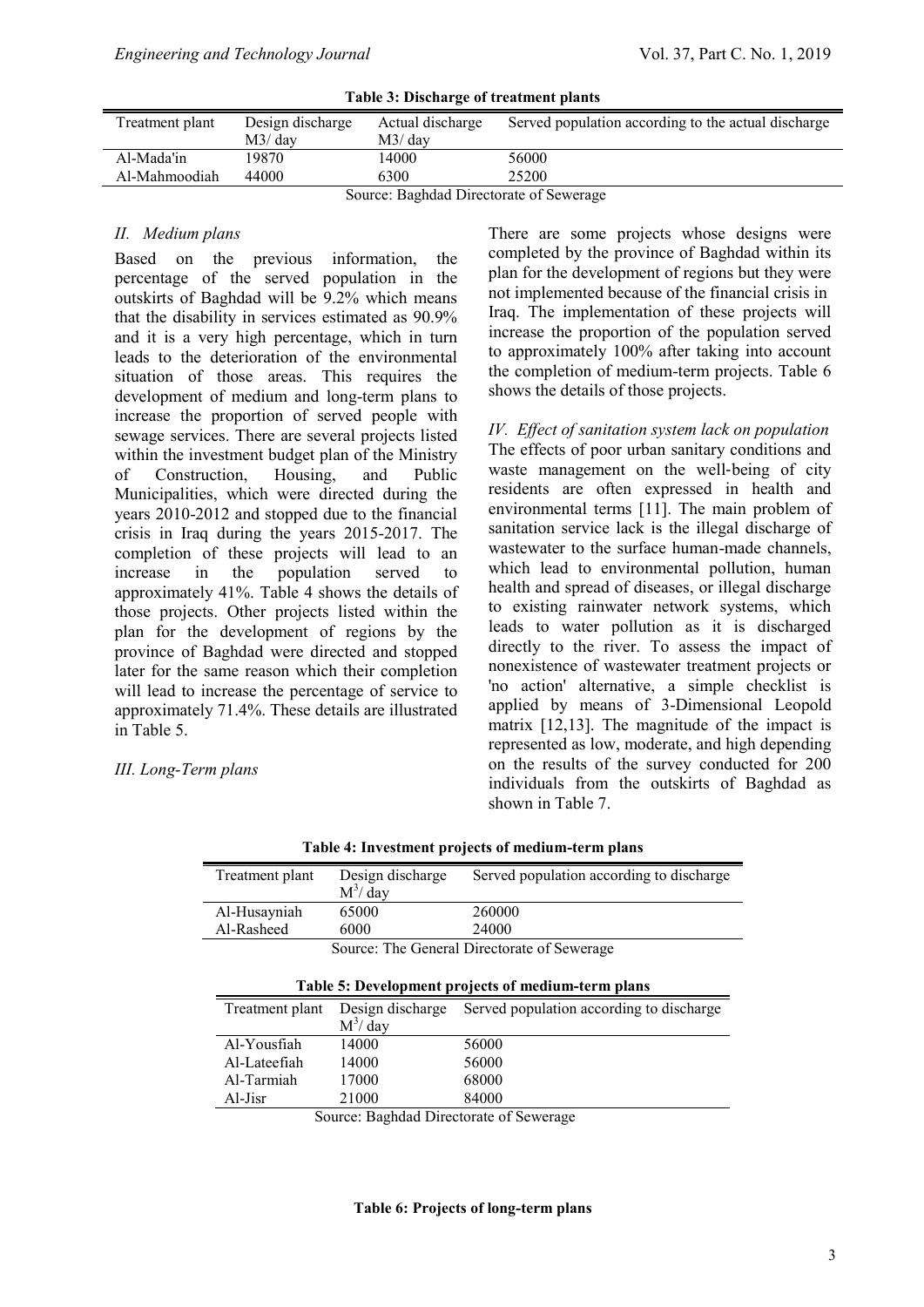| Table 5: Discharge of treatment plants  |                  |                  |                                                     |
|-----------------------------------------|------------------|------------------|-----------------------------------------------------|
| Treatment plant                         | Design discharge | Actual discharge | Served population according to the actual discharge |
|                                         | M3/dav           | M3/dav           |                                                     |
| Al-Mada'in                              | 19870.           | 14000            | 56000                                               |
| Al-Mahmoodiah                           | 44000            | 6300             | 25200                                               |
| Source: Baghdad Directorate of Sewerage |                  |                  |                                                     |

**Table 3: Discharge of treatment plants**

#### *II. Medium plans*

Based on the previous information, the percentage of the served population in the outskirts of Baghdad will be 9.2% which means that the disability in services estimated as 90.9% and it is a very high percentage, which in turn leads to the deterioration of the environmental situation of those areas. This requires the development of medium and long-term plans to increase the proportion of served people with sewage services. There are several projects listed within the investment budget plan of the Ministry of Construction, Housing, and Public Municipalities, which were directed during the years 2010-2012 and stopped due to the financial crisis in Iraq during the years 2015-2017. The completion of these projects will lead to an increase in the population served to approximately 41%. Table 4 shows the details of those projects. Other projects listed within the plan for the development of regions by the province of Baghdad were directed and stopped later for the same reason which their completion will lead to increase the percentage of service to approximately 71.4%. These details are illustrated in Table 5.

*III. Long-Term plans*

There are some projects whose designs were completed by the province of Baghdad within its plan for the development of regions but they were not implemented because of the financial crisis in Iraq. The implementation of these projects will increase the proportion of the population served to approximately 100% after taking into account the completion of medium-term projects. Table 6 shows the details of those projects.

*IV. Effect of sanitation system lack on population* The effects of poor urban sanitary conditions and waste management on the well-being of city residents are often expressed in health and environmental terms [11]. The main problem of sanitation service lack is the illegal discharge of wastewater to the surface human-made channels, which lead to environmental pollution, human health and spread of diseases, or illegal discharge to existing rainwater network systems, which leads to water pollution as it is discharged directly to the river. To assess the impact of nonexistence of wastewater treatment projects or 'no action' alternative, a simple checklist is applied by means of 3-Dimensional Leopold matrix [12,13]. The magnitude of the impact is represented as low, moderate, and high depending on the results of the survey conducted for 200 individuals from the outskirts of Baghdad as shown in Table 7.

| Treatment plant | Design discharge                            | Served population according to discharge           |  |  |
|-----------------|---------------------------------------------|----------------------------------------------------|--|--|
|                 | $M^3/day$                                   |                                                    |  |  |
| Al-Husayniah    | 65000                                       | 260000                                             |  |  |
| Al-Rasheed      | 6000                                        | 24000                                              |  |  |
|                 | Source: The General Directorate of Sewerage |                                                    |  |  |
|                 |                                             |                                                    |  |  |
|                 |                                             | Table 5: Development projects of medium-term plans |  |  |
| Treatment plant | Design discharge                            | Served population according to discharge           |  |  |
|                 | $M^3/day$                                   |                                                    |  |  |
| Al-Yousfiah     | 14000                                       | 56000                                              |  |  |
| Al-Lateefiah    | 14000                                       | 56000                                              |  |  |
| Al-Tarmiah      | 17000                                       | 68000                                              |  |  |
| Al-Jisr         | 21000                                       | 84000                                              |  |  |

**Table 4: Investment projects of medium-term plans**

Source: Baghdad Directorate of Sewerage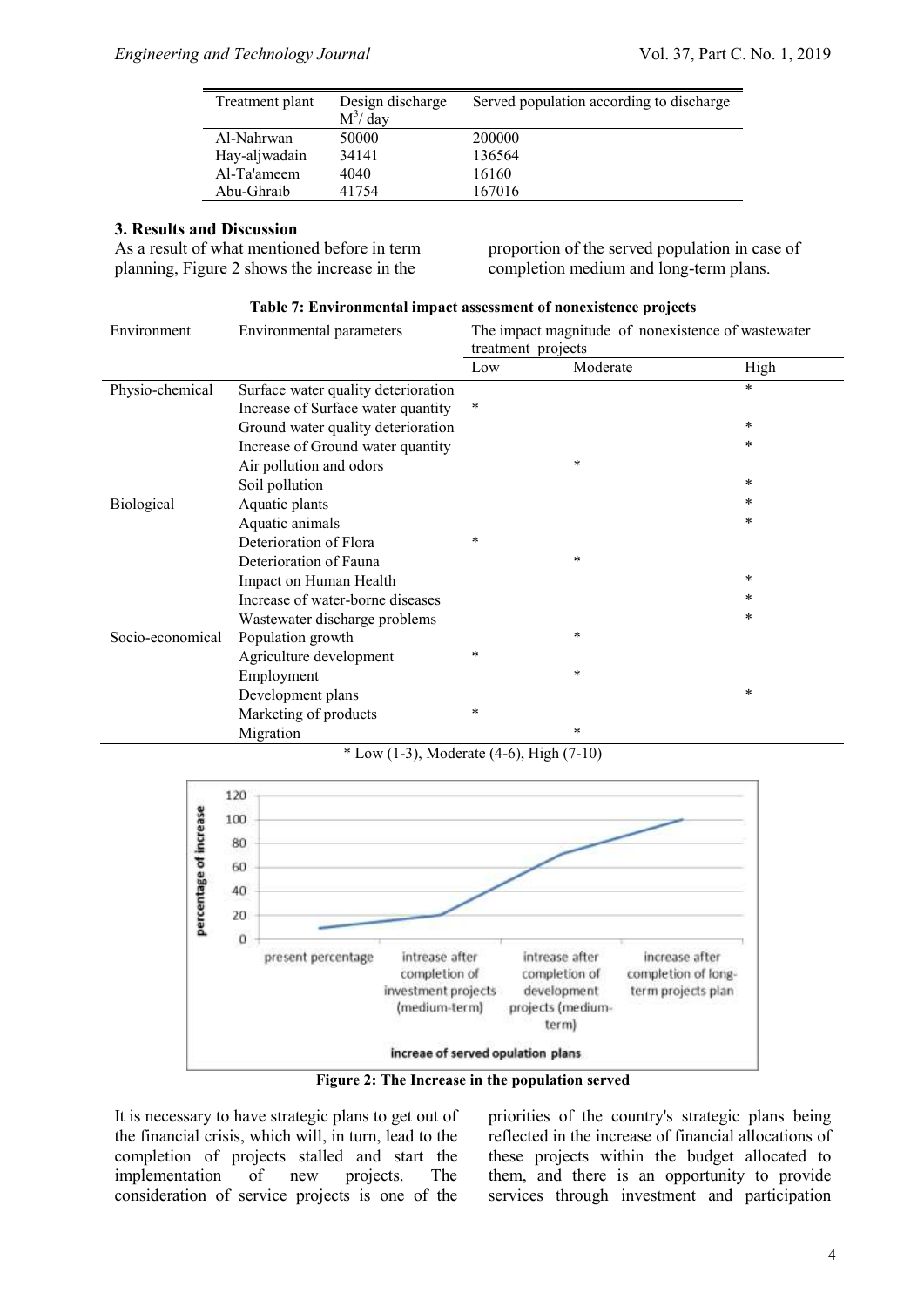| Treatment plant | Design discharge | Served population according to discharge |
|-----------------|------------------|------------------------------------------|
|                 | $M^3/day$        |                                          |
| Al-Nahrwan      | 50000            | 200000                                   |
| Hay-aljwadain   | 34141            | 136564                                   |
| Al-Ta'ameem     | 4040             | 16160                                    |
| Abu-Ghraib      | 41754            | 167016                                   |

#### **3. Results and Discussion**

As a result of what mentioned before in term planning, Figure 2 shows the increase in the

proportion of the served population in case of completion medium and long-term plans.

|                   | ", En en ommental impact assessment of noncalstence projects |                                                    |          |        |
|-------------------|--------------------------------------------------------------|----------------------------------------------------|----------|--------|
| Environment       | Environmental parameters                                     | The impact magnitude of nonexistence of wastewater |          |        |
|                   |                                                              | treatment projects                                 |          |        |
|                   |                                                              | Low                                                | Moderate | High   |
| Physio-chemical   | Surface water quality deterioration                          |                                                    |          | $\ast$ |
|                   | Increase of Surface water quantity                           | *                                                  |          |        |
|                   | Ground water quality deterioration                           |                                                    |          | $\ast$ |
|                   | Increase of Ground water quantity                            |                                                    |          | $\ast$ |
|                   | Air pollution and odors                                      |                                                    | $\ast$   |        |
|                   | Soil pollution                                               |                                                    |          | $\ast$ |
| <b>Biological</b> | Aquatic plants                                               |                                                    |          | *      |
|                   | Aquatic animals                                              |                                                    |          | *      |
|                   | Deterioration of Flora                                       | *                                                  |          |        |
|                   | Deterioration of Fauna                                       |                                                    | $\ast$   |        |
|                   | Impact on Human Health                                       |                                                    |          | $\ast$ |
|                   | Increase of water-borne diseases                             |                                                    |          | $\ast$ |
|                   | Wastewater discharge problems                                |                                                    |          | *      |
| Socio-economical  | Population growth                                            |                                                    | $\ast$   |        |
|                   | Agriculture development                                      | *                                                  |          |        |
|                   | Employment                                                   |                                                    | $\ast$   |        |
|                   | Development plans                                            |                                                    |          | *      |
|                   | Marketing of products                                        | $\ast$                                             |          |        |
|                   | Migration                                                    |                                                    | *        |        |

**Table 7: Environmental impact assessment of nonexistence projects**

 $*$  Low (1-3), Moderate (4-6), High (7-10)



**Figure 2: The Increase in the population served**

It is necessary to have strategic plans to get out of the financial crisis, which will, in turn, lead to the completion of projects stalled and start the implementation of new projects. The consideration of service projects is one of the

priorities of the country's strategic plans being reflected in the increase of financial allocations of these projects within the budget allocated to them, and there is an opportunity to provide services through investment and participation